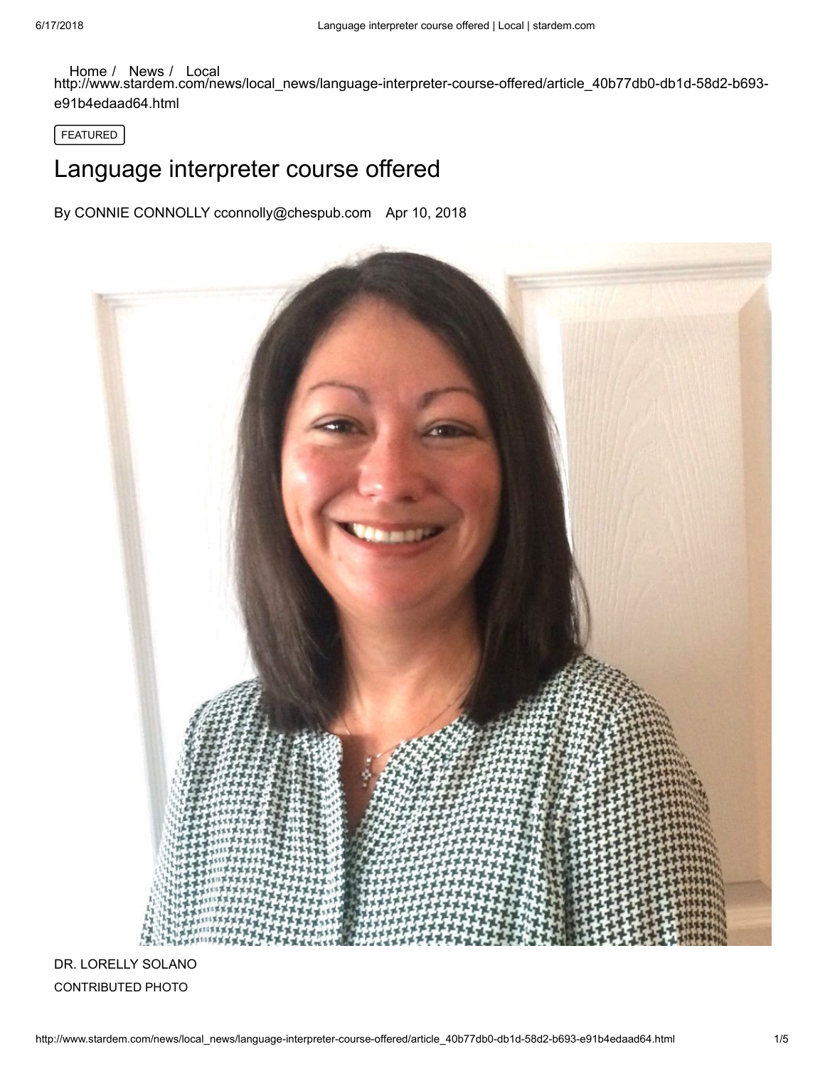## [Home](http://www.stardem.com/) / [News](http://www.stardem.com/news/) / [Local](http://www.stardem.com/news/local_news/)

http://www.stardem.com/news/local\_news/language-interpreter-course-offered/article\_40b77db0-db1d-58d2-b693 e91b4edaad64.html

FEATURED

## Language interpreter course offered

By CONNIE CONNOLLY cconnolly@chespub.com Apr 10, 2018



DR. LORELLY SOLANO CONTRIBUTED PHOTO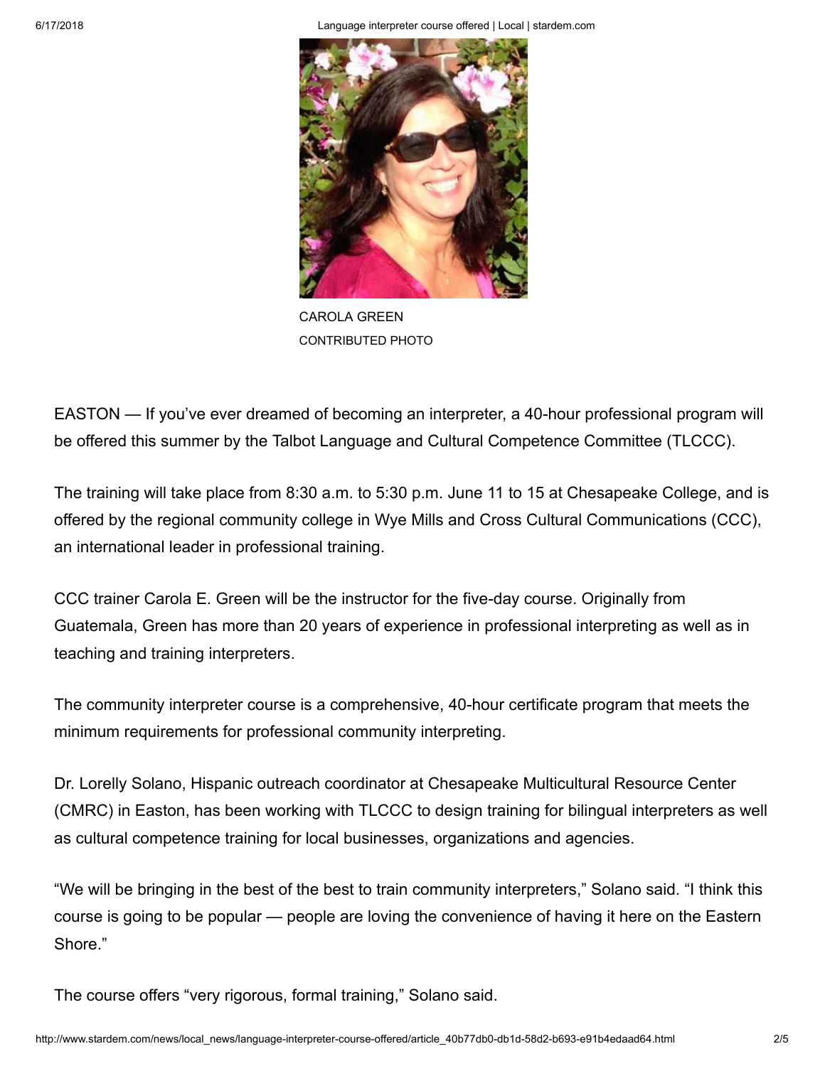6/17/2018 Language interpreter course offered | Local | stardem.com



CAROLA GREEN CONTRIBUTED PHOTO

EASTON — If you've ever dreamed of becoming an interpreter, a 40-hour professional program will be offered this summer by the Talbot Language and Cultural Competence Committee (TLCCC).

The training will take place from 8:30 a.m. to 5:30 p.m. June 11 to 15 at Chesapeake College, and is offered by the regional community college in Wye Mills and Cross Cultural Communications (CCC), an international leader in professional training.

CCC trainer Carola E. Green will be the instructor for the five-day course. Originally from Guatemala, Green has more than 20 years of experience in professional interpreting as well as in teaching and training interpreters.

The community interpreter course is a comprehensive, 40-hour certificate program that meets the minimum requirements for professional community interpreting.

Dr. Lorelly Solano, Hispanic outreach coordinator at Chesapeake Multicultural Resource Center (CMRC) in Easton, has been working with TLCCC to design training for bilingual interpreters as well as cultural competence training for local businesses, organizations and agencies.

"We will be bringing in the best of the best to train community interpreters," Solano said. "I think this course is going to be popular — people are loving the convenience of having it here on the Eastern Shore."

The course offers "very rigorous, formal training," Solano said.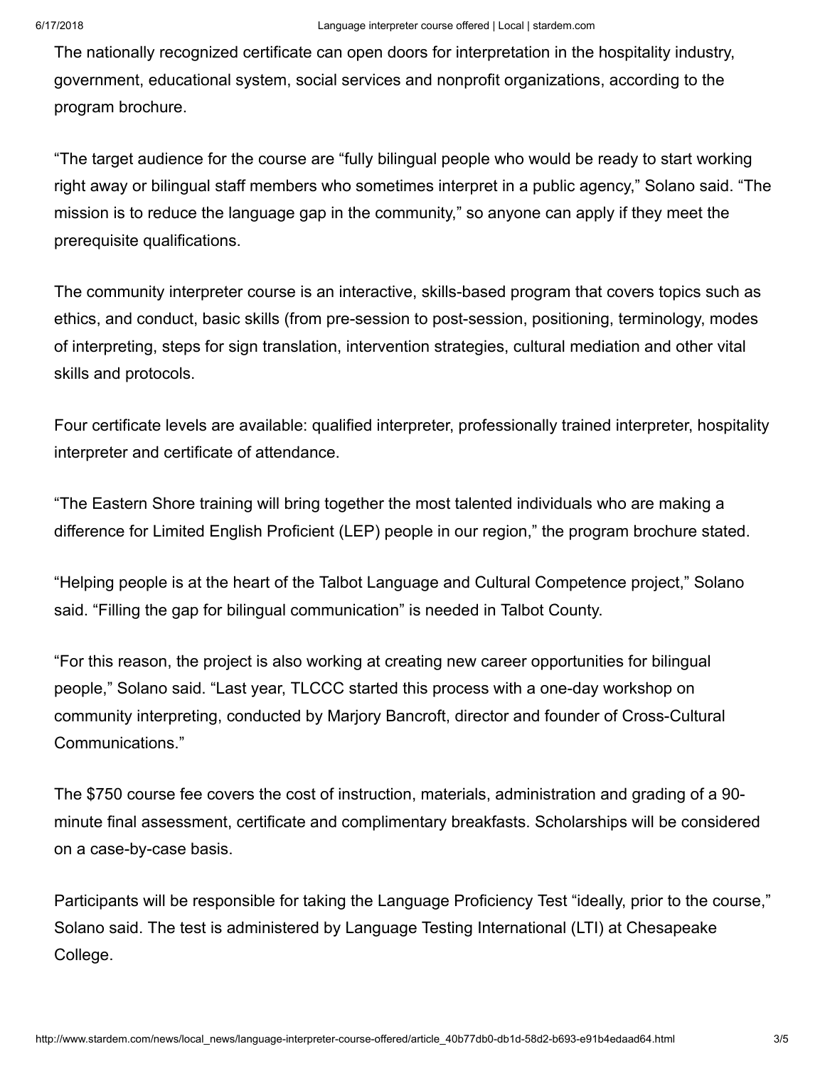The nationally recognized certificate can open doors for interpretation in the hospitality industry, government, educational system, social services and nonprofit organizations, according to the program brochure.

"The target audience for the course are "fully bilingual people who would be ready to start working right away or bilingual staff members who sometimes interpret in a public agency," Solano said. "The mission is to reduce the language gap in the community," so anyone can apply if they meet the prerequisite qualifications.

The community interpreter course is an interactive, skills-based program that covers topics such as ethics, and conduct, basic skills (from pre-session to post-session, positioning, terminology, modes of interpreting, steps for sign translation, intervention strategies, cultural mediation and other vital skills and protocols.

Four certificate levels are available: qualified interpreter, professionally trained interpreter, hospitality interpreter and certificate of attendance.

"The Eastern Shore training will bring together the most talented individuals who are making a difference for Limited English Proficient (LEP) people in our region," the program brochure stated.

"Helping people is at the heart of the Talbot Language and Cultural Competence project," Solano said. "Filling the gap for bilingual communication" is needed in Talbot County.

"For this reason, the project is also working at creating new career opportunities for bilingual people," Solano said. "Last year, TLCCC started this process with a one-day workshop on community interpreting, conducted by Marjory Bancroft, director and founder of Cross-Cultural Communications."

The \$750 course fee covers the cost of instruction, materials, administration and grading of a 90 minute final assessment, certificate and complimentary breakfasts. Scholarships will be considered on a case-by-case basis.

Participants will be responsible for taking the Language Proficiency Test "ideally, prior to the course," Solano said. The test is administered by Language Testing International (LTI) at Chesapeake College.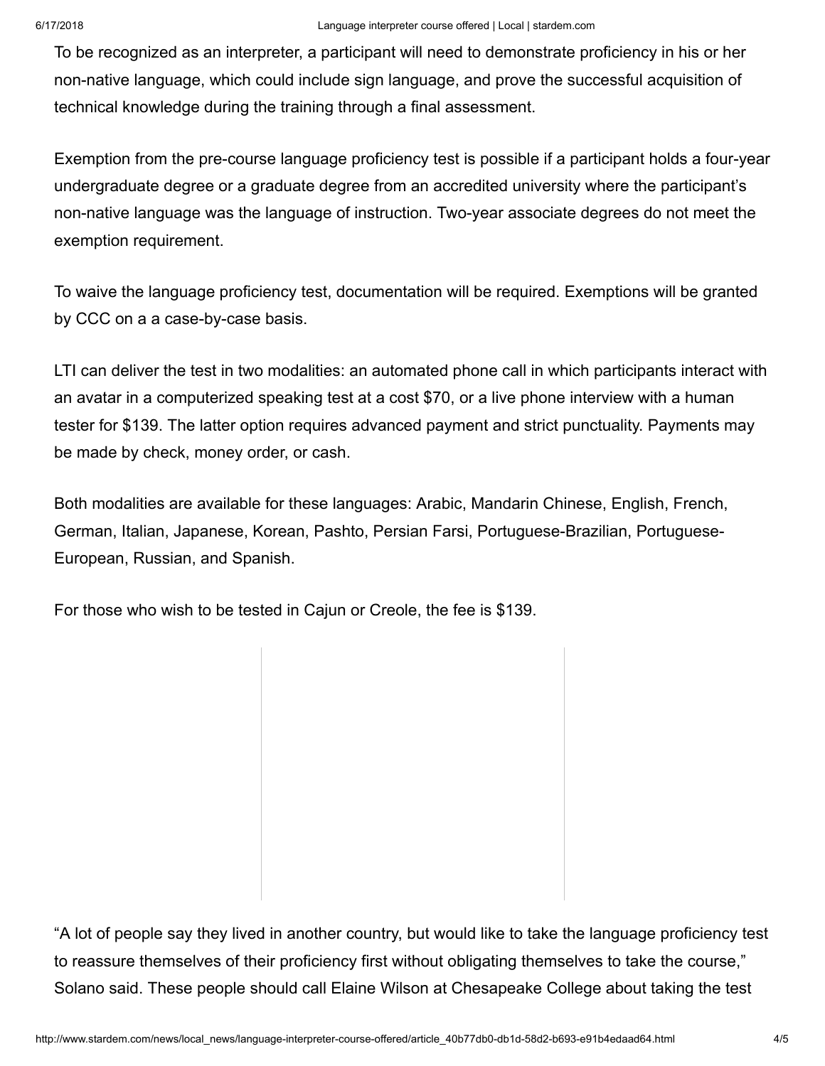To be recognized as an interpreter, a participant will need to demonstrate proficiency in his or her non-native language, which could include sign language, and prove the successful acquisition of technical knowledge during the training through a final assessment.

Exemption from the pre-course language proficiency test is possible if a participant holds a four-year undergraduate degree or a graduate degree from an accredited university where the participant's non-native language was the language of instruction. Two-year associate degrees do not meet the exemption requirement.

To waive the language proficiency test, documentation will be required. Exemptions will be granted by CCC on a a case-by-case basis.

LTI can deliver the test in two modalities: an automated phone call in which participants interact with an avatar in a computerized speaking test at a cost \$70, or a live phone interview with a human tester for \$139. The latter option requires advanced payment and strict punctuality. Payments may be made by check, money order, or cash.

Both modalities are available for these languages: Arabic, Mandarin Chinese, English, French, German, Italian, Japanese, Korean, Pashto, Persian Farsi, Portuguese-Brazilian, Portuguese-European, Russian, and Spanish.

For those who wish to be tested in Cajun or Creole, the fee is \$139.

"A lot of people say they lived in another country, but would like to take the language proficiency test to reassure themselves of their proficiency first without obligating themselves to take the course," Solano said. These people should call Elaine Wilson at Chesapeake College about taking the test